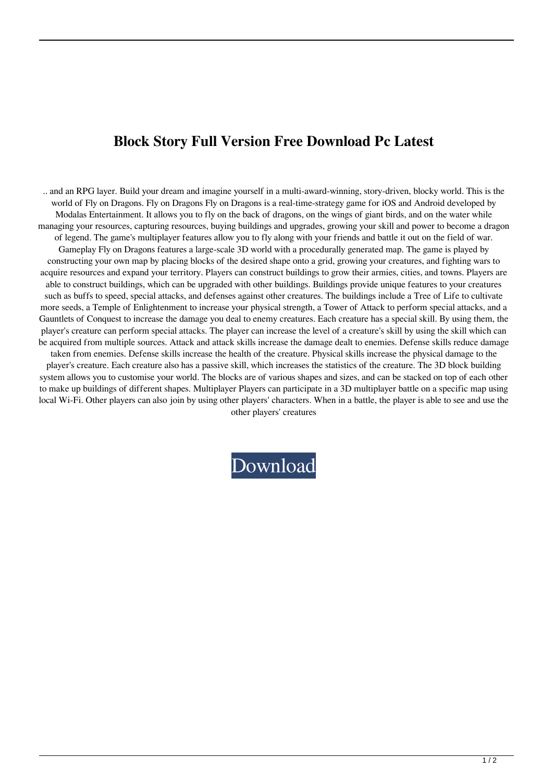## **Block Story Full Version Free Download Pc Latest**

.. and an RPG layer. Build your dream and imagine yourself in a multi-award-winning, story-driven, blocky world. This is the world of Fly on Dragons. Fly on Dragons Fly on Dragons is a real-time-strategy game for iOS and Android developed by Modalas Entertainment. It allows you to fly on the back of dragons, on the wings of giant birds, and on the water while managing your resources, capturing resources, buying buildings and upgrades, growing your skill and power to become a dragon of legend. The game's multiplayer features allow you to fly along with your friends and battle it out on the field of war. Gameplay Fly on Dragons features a large-scale 3D world with a procedurally generated map. The game is played by constructing your own map by placing blocks of the desired shape onto a grid, growing your creatures, and fighting wars to acquire resources and expand your territory. Players can construct buildings to grow their armies, cities, and towns. Players are able to construct buildings, which can be upgraded with other buildings. Buildings provide unique features to your creatures such as buffs to speed, special attacks, and defenses against other creatures. The buildings include a Tree of Life to cultivate more seeds, a Temple of Enlightenment to increase your physical strength, a Tower of Attack to perform special attacks, and a Gauntlets of Conquest to increase the damage you deal to enemy creatures. Each creature has a special skill. By using them, the player's creature can perform special attacks. The player can increase the level of a creature's skill by using the skill which can be acquired from multiple sources. Attack and attack skills increase the damage dealt to enemies. Defense skills reduce damage taken from enemies. Defense skills increase the health of the creature. Physical skills increase the physical damage to the player's creature. Each creature also has a passive skill, which increases the statistics of the creature. The 3D block building system allows you to customise your world. The blocks are of various shapes and sizes, and can be stacked on top of each other to make up buildings of different shapes. Multiplayer Players can participate in a 3D multiplayer battle on a specific map using local Wi-Fi. Other players can also join by using other players' characters. When in a battle, the player is able to see and use the other players' creatures

[Download](http://evacdir.com/QmxvY2sgU3RvcnkgRnVsbCBWZXJzaW9uIEZyZWUgRG93bmxvYWQgUGMQmx/anonymous/bugging/aplasic/panettone/&indicated=inexplicable&stagefright=ZG93bmxvYWR8a0YxTW1oNmFueDhNVFkxTWpRMk16QTFNSHg4TWpVM05IeDhLRTBwSUhKbFlXUXRZbXh2WnlCYlJtRnpkQ0JIUlU1ZA)